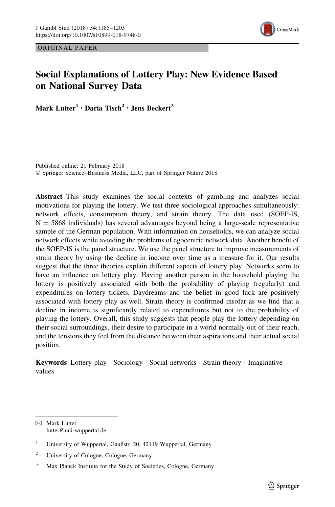

ORIGINAL PAPER

# Social Explanations of Lottery Play: New Evidence Based on National Survey Data

Mark Lutter<sup>1</sup> • Daria Tisch<sup>2</sup> • Jens Beckert<sup>3</sup>

Published online: 21 February 2018 - Springer Science+Business Media, LLC, part of Springer Nature 2018

Abstract This study examines the social contexts of gambling and analyzes social motivations for playing the lottery. We test three sociological approaches simultaneously: network effects, consumption theory, and strain theory. The data used (SOEP-IS,  $N = 5868$  individuals) has several advantages beyond being a large-scale representative sample of the German population. With information on households, we can analyze social network effects while avoiding the problems of egocentric network data. Another benefit of the SOEP-IS is the panel structure. We use the panel structure to improve measurements of strain theory by using the decline in income over time as a measure for it. Our results suggest that the three theories explain different aspects of lottery play. Networks seem to have an influence on lottery play. Having another person in the household playing the lottery is positively associated with both the probability of playing (regularly) and expenditures on lottery tickets. Daydreams and the belief in good luck are positively associated with lottery play as well. Strain theory is confirmed insofar as we find that a decline in income is significantly related to expenditures but not to the probability of playing the lottery. Overall, this study suggests that people play the lottery depending on their social surroundings, their desire to participate in a world normally out of their reach, and the tensions they feel from the distance between their aspirations and their actual social position.

Keywords Lottery play · Sociology · Social networks · Strain theory · Imaginative values

 $\boxtimes$  Mark Lutter lutter@uni-wuppertal.de

<sup>&</sup>lt;sup>1</sup> University of Wuppertal, Gaußstr. 20, 42119 Wuppertal, Germany

<sup>2</sup> University of Cologne, Cologne, Germany

<sup>&</sup>lt;sup>3</sup> Max Planck Institute for the Study of Societies, Cologne, Germany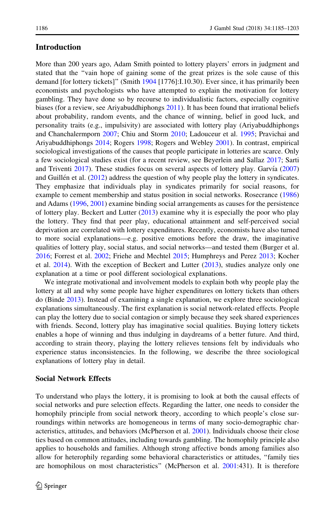### **Introduction**

More than 200 years ago, Adam Smith pointed to lottery players' errors in judgment and stated that the ''vain hope of gaining some of the great prizes is the sole cause of this demand [for lottery tickets]" (Smith [1904](#page-18-0) [1776]:I.10.30). Ever since, it has primarily been economists and psychologists who have attempted to explain the motivation for lottery gambling. They have done so by recourse to individualistic factors, especially cognitive biases (for a review, see Ariyabuddhiphongs [2011](#page-16-0)). It has been found that irrational beliefs about probability, random events, and the chance of winning, belief in good luck, and personality traits (e.g., impulsivity) are associated with lottery play (Ariyabuddhiphongs and Chanchalermporn [2007;](#page-16-0) Chiu and Storm [2010](#page-16-0); Ladouceur et al. [1995](#page-17-0); Pravichai and Ariyabuddhiphongs [2014;](#page-17-0) Rogers [1998](#page-17-0); Rogers and Webley [2001\)](#page-17-0). In contrast, empirical sociological investigations of the causes that people participate in lotteries are scarce. Only a few sociological studies exist (for a recent review, see Beyerlein and Sallaz [2017](#page-16-0); Sarti and Triventi  $2017$ ). These studies focus on several aspects of lottery play. Garvía ( $2007$ ) and Guillén et al.  $(2012)$  $(2012)$  $(2012)$  address the question of why people play the lottery in syndicates. They emphasize that individuals play in syndicates primarily for social reasons, for example to cement membership and status position in social networks. Rosecrance ([1986](#page-18-0)) and Adams ([1996,](#page-16-0) [2001](#page-16-0)) examine binding social arrangements as causes for the persistence of lottery play. Beckert and Lutter [\(2013\)](#page-16-0) examine why it is especially the poor who play the lottery. They find that peer play, educational attainment and self-perceived social deprivation are correlated with lottery expenditures. Recently, economists have also turned to more social explanations—e.g. positive emotions before the draw, the imaginative qualities of lottery play, social status, and social networks—and tested them (Burger et al. [2016;](#page-16-0) Forrest et al. [2002;](#page-17-0) Friehe and Mechtel [2015;](#page-17-0) Humphreys and Perez [2013;](#page-17-0) Kocher et al. [2014\)](#page-17-0). With the exception of Beckert and Lutter [\(2013\)](#page-16-0), studies analyze only one explanation at a time or pool different sociological explanations.

We integrate motivational and involvement models to explain both why people play the lottery at all and why some people have higher expenditures on lottery tickets than others do (Binde [2013](#page-16-0)). Instead of examining a single explanation, we explore three sociological explanations simultaneously. The first explanation is social network-related effects. People can play the lottery due to social contagion or simply because they seek shared experiences with friends. Second, lottery play has imaginative social qualities. Buying lottery tickets enables a hope of winning and thus indulging in daydreams of a better future. And third, according to strain theory, playing the lottery relieves tensions felt by individuals who experience status inconsistencies. In the following, we describe the three sociological explanations of lottery play in detail.

#### Social Network Effects

To understand who plays the lottery, it is promising to look at both the causal effects of social networks and pure selection effects. Regarding the latter, one needs to consider the homophily principle from social network theory, according to which people's close surroundings within networks are homogeneous in terms of many socio-demographic characteristics, attitudes, and behaviors (McPherson et al. [2001](#page-17-0)). Individuals choose their close ties based on common attitudes, including towards gambling. The homophily principle also applies to households and families. Although strong affective bonds among families also allow for heterophily regarding some behavioral characteristics or attitudes, ''family ties are homophilous on most characteristics'' (McPherson et al. [2001:](#page-17-0)431). It is therefore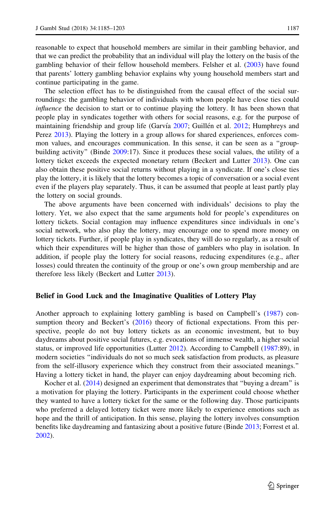reasonable to expect that household members are similar in their gambling behavior, and that we can predict the probability that an individual will play the lottery on the basis of the gambling behavior of their fellow household members. Felsher et al. ([2003](#page-17-0)) have found that parents' lottery gambling behavior explains why young household members start and continue participating in the game.

The selection effect has to be distinguished from the causal effect of the social surroundings: the gambling behavior of individuals with whom people have close ties could influence the decision to start or to continue playing the lottery. It has been shown that people play in syndicates together with others for social reasons, e.g. for the purpose of maintaining friendship and group life (Garvía [2007](#page-17-0); Guillén et al. [2012;](#page-17-0) Humphreys and Perez [2013\)](#page-17-0). Playing the lottery in a group allows for shared experiences, enforces common values, and encourages communication. In this sense, it can be seen as a ''group-building activity" (Binde [2009:](#page-16-0)17). Since it produces these social values, the utility of a lottery ticket exceeds the expected monetary return (Beckert and Lutter [2013\)](#page-16-0). One can also obtain these positive social returns without playing in a syndicate. If one's close ties play the lottery, it is likely that the lottery becomes a topic of conversation or a social event even if the players play separately. Thus, it can be assumed that people at least partly play the lottery on social grounds.

The above arguments have been concerned with individuals' decisions to play the lottery. Yet, we also expect that the same arguments hold for people's expenditures on lottery tickets. Social contagion may influence expenditures since individuals in one's social network, who also play the lottery, may encourage one to spend more money on lottery tickets. Further, if people play in syndicates, they will do so regularly, as a result of which their expenditures will be higher than those of gamblers who play in isolation. In addition, if people play the lottery for social reasons, reducing expenditures (e.g., after losses) could threaten the continuity of the group or one's own group membership and are therefore less likely (Beckert and Lutter [2013](#page-16-0)).

#### Belief in Good Luck and the Imaginative Qualities of Lottery Play

Another approach to explaining lottery gambling is based on Campbell's [\(1987](#page-16-0)) con-sumption theory and Beckert's [\(2016](#page-16-0)) theory of fictional expectations. From this perspective, people do not buy lottery tickets as an economic investment, but to buy daydreams about positive social futures, e.g. evocations of immense wealth, a higher social status, or improved life opportunities (Lutter [2012\)](#page-17-0). According to Campbell ([1987:](#page-16-0)89), in modern societies ''individuals do not so much seek satisfaction from products, as pleasure from the self-illusory experience which they construct from their associated meanings.'' Having a lottery ticket in hand, the player can enjoy daydreaming about becoming rich.

Kocher et al. [\(2014](#page-17-0)) designed an experiment that demonstrates that ''buying a dream'' is a motivation for playing the lottery. Participants in the experiment could choose whether they wanted to have a lottery ticket for the same or the following day. Those participants who preferred a delayed lottery ticket were more likely to experience emotions such as hope and the thrill of anticipation. In this sense, playing the lottery involves consumption benefits like daydreaming and fantasizing about a positive future (Binde [2013](#page-16-0); Forrest et al. [2002\)](#page-17-0).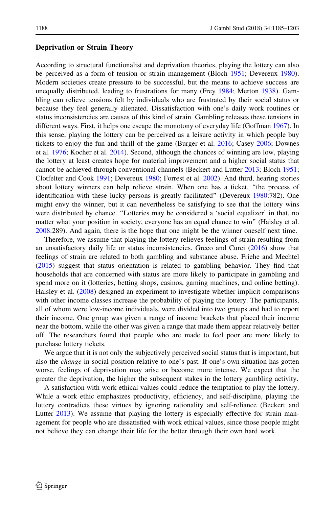#### Deprivation or Strain Theory

According to structural functionalist and deprivation theories, playing the lottery can also be perceived as a form of tension or strain management (Bloch [1951](#page-16-0); Devereux [1980](#page-16-0)). Modern societies create pressure to be successful, but the means to achieve success are unequally distributed, leading to frustrations for many (Frey [1984](#page-17-0); Merton [1938\)](#page-17-0). Gambling can relieve tensions felt by individuals who are frustrated by their social status or because they feel generally alienated. Dissatisfaction with one's daily work routines or status inconsistencies are causes of this kind of strain. Gambling releases these tensions in different ways. First, it helps one escape the monotony of everyday life (Goffman [1967\)](#page-17-0). In this sense, playing the lottery can be perceived as a leisure activity in which people buy tickets to enjoy the fun and thrill of the game (Burger et al. [2016](#page-16-0); Casey [2006;](#page-16-0) Downes et al. [1976](#page-17-0); Kocher et al. [2014](#page-17-0)). Second, although the chances of winning are low, playing the lottery at least creates hope for material improvement and a higher social status that cannot be achieved through conventional channels (Beckert and Lutter [2013](#page-16-0); Bloch [1951;](#page-16-0) Clotfelter and Cook [1991](#page-16-0); Devereux [1980](#page-16-0); Forrest et al. [2002\)](#page-17-0). And third, hearing stories about lottery winners can help relieve strain. When one has a ticket, ''the process of identification with these lucky persons is greatly facilitated'' (Devereux [1980:](#page-16-0)782). One might envy the winner, but it can nevertheless be satisfying to see that the lottery wins were distributed by chance. ''Lotteries may be considered a 'social equalizer' in that, no matter what your position in society, everyone has an equal chance to win'' (Haisley et al. [2008:](#page-17-0)289). And again, there is the hope that one might be the winner oneself next time.

Therefore, we assume that playing the lottery relieves feelings of strain resulting from an unsatisfactory daily life or status inconsistencies. Greco and Curci  $(2016)$  $(2016)$  show that feelings of strain are related to both gambling and substance abuse. Friehe and Mechtel ([2015\)](#page-17-0) suggest that status orientation is related to gambling behavior. They find that households that are concerned with status are more likely to participate in gambling and spend more on it (lotteries, betting shops, casinos, gaming machines, and online betting). Haisley et al. [\(2008](#page-17-0)) designed an experiment to investigate whether implicit comparisons with other income classes increase the probability of playing the lottery. The participants, all of whom were low-income individuals, were divided into two groups and had to report their income. One group was given a range of income brackets that placed their income near the bottom, while the other was given a range that made them appear relatively better off. The researchers found that people who are made to feel poor are more likely to purchase lottery tickets.

We argue that it is not only the subjectively perceived social status that is important, but also the *change* in social position relative to one's past. If one's own situation has gotten worse, feelings of deprivation may arise or become more intense. We expect that the greater the deprivation, the higher the subsequent stakes in the lottery gambling activity.

A satisfaction with work ethical values could reduce the temptation to play the lottery. While a work ethic emphasizes productivity, efficiency, and self-discipline, playing the lottery contradicts these virtues by ignoring rationality and self-reliance (Beckert and Lutter [2013\)](#page-16-0). We assume that playing the lottery is especially effective for strain management for people who are dissatisfied with work ethical values, since those people might not believe they can change their life for the better through their own hard work.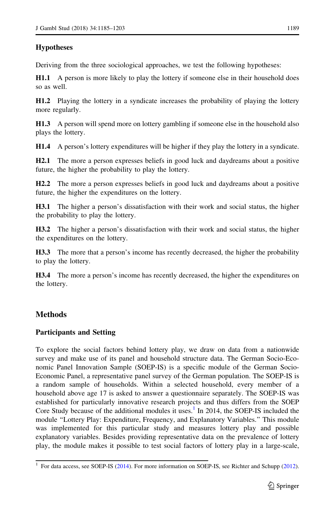## Hypotheses

Deriving from the three sociological approaches, we test the following hypotheses:

H1.1 A person is more likely to play the lottery if someone else in their household does so as well.

H1.2 Playing the lottery in a syndicate increases the probability of playing the lottery more regularly.

H1.3 A person will spend more on lottery gambling if someone else in the household also plays the lottery.

H1.4 A person's lottery expenditures will be higher if they play the lottery in a syndicate.

H2.1 The more a person expresses beliefs in good luck and daydreams about a positive future, the higher the probability to play the lottery.

H2.2 The more a person expresses beliefs in good luck and daydreams about a positive future, the higher the expenditures on the lottery.

H3.1 The higher a person's dissatisfaction with their work and social status, the higher the probability to play the lottery.

H3.2 The higher a person's dissatisfaction with their work and social status, the higher the expenditures on the lottery.

H3.3 The more that a person's income has recently decreased, the higher the probability to play the lottery.

H3.4 The more a person's income has recently decreased, the higher the expenditures on the lottery.

## **Methods**

## Participants and Setting

To explore the social factors behind lottery play, we draw on data from a nationwide survey and make use of its panel and household structure data. The German Socio-Economic Panel Innovation Sample (SOEP-IS) is a specific module of the German Socio-Economic Panel, a representative panel survey of the German population. The SOEP-IS is a random sample of households. Within a selected household, every member of a household above age 17 is asked to answer a questionnaire separately. The SOEP-IS was established for particularly innovative research projects and thus differs from the SOEP Core Study because of the additional modules it uses.<sup>1</sup> In 2014, the SOEP-IS included the module ''Lottery Play: Expenditure, Frequency, and Explanatory Variables.'' This module was implemented for this particular study and measures lottery play and possible explanatory variables. Besides providing representative data on the prevalence of lottery play, the module makes it possible to test social factors of lottery play in a large-scale,

<sup>&</sup>lt;sup>1</sup> For data access, see SOEP-IS [\(2014](#page-18-0)). For more information on SOEP-IS, see Richter and Schupp [\(2012\)](#page-17-0).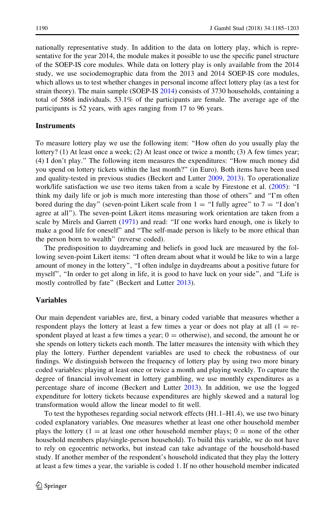nationally representative study. In addition to the data on lottery play, which is representative for the year 2014, the module makes it possible to use the specific panel structure of the SOEP-IS core modules. While data on lottery play is only available from the 2014 study, we use sociodemographic data from the 2013 and 2014 SOEP-IS core modules, which allows us to test whether changes in personal income affect lottery play (as a test for strain theory). The main sample (SOEP-IS [2014](#page-18-0)) consists of 3730 households, containing a total of 5868 individuals. 53.1% of the participants are female. The average age of the participants is 52 years, with ages ranging from 17 to 96 years.

#### **Instruments**

To measure lottery play we use the following item: ''How often do you usually play the lottery? (1) At least once a week; (2) At least once or twice a month; (3) A few times year; (4) I don't play.'' The following item measures the expenditures: ''How much money did you spend on lottery tickets within the last month?'' (in Euro). Both items have been used and quality-tested in previous studies (Beckert and Lutter [2009](#page-16-0), [2013](#page-16-0)). To operationalize work/life satisfaction we use two items taken from a scale by Firestone et al. [\(2005](#page-17-0)): ''I think my daily life or job is much more interesting than those of others'' and ''I'm often bored during the day" (seven-point Likert scale from  $1 =$  "I fully agree" to  $7 =$  "I don't agree at all''). The seven-point Likert items measuring work orientation are taken from a scale by Mirels and Garrett [\(1971](#page-17-0)) and read: ''If one works hard enough, one is likely to make a good life for oneself'' and ''The self-made person is likely to be more ethical than the person born to wealth'' (reverse coded).

The predisposition to daydreaming and beliefs in good luck are measured by the following seven-point Likert items: ''I often dream about what it would be like to win a large amount of money in the lottery", "I often indulge in daydreams about a positive future for myself'', ''In order to get along in life, it is good to have luck on your side'', and ''Life is mostly controlled by fate'' (Beckert and Lutter [2013\)](#page-16-0).

#### Variables

Our main dependent variables are, first, a binary coded variable that measures whether a respondent plays the lottery at least a few times a year or does not play at all  $(1 =$  respondent played at least a few times a year;  $0 =$  otherwise), and second, the amount he or she spends on lottery tickets each month. The latter measures the intensity with which they play the lottery. Further dependent variables are used to check the robustness of our findings. We distinguish between the frequency of lottery play by using two more binary coded variables: playing at least once or twice a month and playing weekly. To capture the degree of financial involvement in lottery gambling, we use monthly expenditures as a percentage share of income (Beckert and Lutter [2013\)](#page-16-0). In addition, we use the logged expenditure for lottery tickets because expenditures are highly skewed and a natural log transformation would allow the linear model to fit well.

To test the hypotheses regarding social network effects (H1.1–H1.4), we use two binary coded explanatory variables. One measures whether at least one other household member plays the lottery  $(1 = at least one other household member plays; 0 = none of the other$ household members play/single-person household). To build this variable, we do not have to rely on egocentric networks, but instead can take advantage of the household-based study. If another member of the respondent's household indicated that they play the lottery at least a few times a year, the variable is coded 1. If no other household member indicated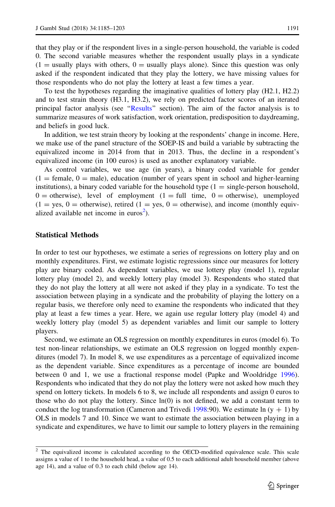that they play or if the respondent lives in a single-person household, the variable is coded 0. The second variable measures whether the respondent usually plays in a syndicate  $(1 =$  usually plays with others,  $0 =$  usually plays alone). Since this question was only asked if the respondent indicated that they play the lottery, we have missing values for those respondents who do not play the lottery at least a few times a year.

To test the hypotheses regarding the imaginative qualities of lottery play (H2.1, H2.2) and to test strain theory (H3.1, H3.2), we rely on predicted factor scores of an iterated principal factor analysis (see "Results" section). The aim of the factor analysis is to summarize measures of work satisfaction, work orientation, predisposition to daydreaming, and beliefs in good luck.

In addition, we test strain theory by looking at the respondents' change in income. Here, we make use of the panel structure of the SOEP-IS and build a variable by subtracting the equivalized income in 2014 from that in 2013. Thus, the decline in a respondent's equivalized income (in 100 euros) is used as another explanatory variable.

As control variables, we use age (in years), a binary coded variable for gender  $(1 = \text{female}, 0 = \text{male})$ , education (number of years spent in school and higher-learning institutions), a binary coded variable for the household type  $(1 = single-person household,$  $0 =$  otherwise), level of employment  $(1 =$  full time,  $0 =$  otherwise), unemployed  $(1 = yes, 0 = otherwise)$ , retired  $(1 = yes, 0 = otherwise)$ , and income (monthly equivalized available net income in euros<sup>2</sup>).

#### Statistical Methods

In order to test our hypotheses, we estimate a series of regressions on lottery play and on monthly expenditures. First, we estimate logistic regressions since our measures for lottery play are binary coded. As dependent variables, we use lottery play (model 1), regular lottery play (model 2), and weekly lottery play (model 3). Respondents who stated that they do not play the lottery at all were not asked if they play in a syndicate. To test the association between playing in a syndicate and the probability of playing the lottery on a regular basis, we therefore only need to examine the respondents who indicated that they play at least a few times a year. Here, we again use regular lottery play (model 4) and weekly lottery play (model 5) as dependent variables and limit our sample to lottery players.

Second, we estimate an OLS regression on monthly expenditures in euros (model 6). To test non-linear relationships, we estimate an OLS regression on logged monthly expenditures (model 7). In model 8, we use expenditures as a percentage of equivalized income as the dependent variable. Since expenditures as a percentage of income are bounded between 0 and 1, we use a fractional response model (Papke and Wooldridge [1996](#page-17-0)). Respondents who indicated that they do not play the lottery were not asked how much they spend on lottery tickets. In models 6 to 8, we include all respondents and assign 0 euros to those who do not play the lottery. Since  $ln(0)$  is not defined, we add a constant term to conduct the log transformation (Cameron and Trivedi [1998:](#page-16-0)90). We estimate  $\ln(y + 1)$  by OLS in models 7 and 10. Since we want to estimate the association between playing in a syndicate and expenditures, we have to limit our sample to lottery players in the remaining

<sup>&</sup>lt;sup>2</sup> The equivalized income is calculated according to the OECD-modified equivalence scale. This scale assigns a value of 1 to the household head, a value of 0.5 to each additional adult household member (above age 14), and a value of 0.3 to each child (below age 14).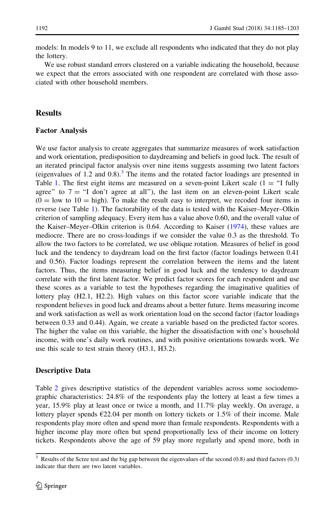<span id="page-7-0"></span>models: In models 9 to 11, we exclude all respondents who indicated that they do not play the lottery.

We use robust standard errors clustered on a variable indicating the household, because we expect that the errors associated with one respondent are correlated with those associated with other household members.

### **Results**

#### Factor Analysis

We use factor analysis to create aggregates that summarize measures of work satisfaction and work orientation, predisposition to daydreaming and beliefs in good luck. The result of an iterated principal factor analysis over nine items suggests assuming two latent factors (eigenvalues of 1.2 and  $0.8$ ).<sup>3</sup> The items and the rotated factor loadings are presented in Table [1](#page-8-0). The first eight items are measured on a seven-point Likert scale  $(1 = "I fully$ agree" to  $7 =$  "I don't agree at all"), the last item on an eleven-point Likert scale  $(0 =$ low to  $10 =$ high). To make the result easy to interpret, we recoded four items in reverse (see Table [1\)](#page-8-0). The factorability of the data is tested with the Kaiser–Meyer–Olkin criterion of sampling adequacy. Every item has a value above 0.60, and the overall value of the Kaiser–Meyer–Olkin criterion is 0.64. According to Kaiser ([1974](#page-17-0)), these values are mediocre. There are no cross-loadings if we consider the value 0.3 as the threshold. To allow the two factors to be correlated, we use oblique rotation. Measures of belief in good luck and the tendency to daydream load on the first factor (factor loadings between 0.41 and 0.56). Factor loadings represent the correlation between the items and the latent factors. Thus, the items measuring belief in good luck and the tendency to daydream correlate with the first latent factor. We predict factor scores for each respondent and use these scores as a variable to test the hypotheses regarding the imaginative qualities of lottery play (H2.1, H2.2). High values on this factor score variable indicate that the respondent believes in good luck and dreams about a better future. Items measuring income and work satisfaction as well as work orientation load on the second factor (factor loadings between 0.33 and 0.44). Again, we create a variable based on the predicted factor scores. The higher the value on this variable, the higher the dissatisfaction with one's household income, with one's daily work routines, and with positive orientations towards work. We use this scale to test strain theory (H3.1, H3.2).

### Descriptive Data

Table [2](#page-9-0) gives descriptive statistics of the dependent variables across some sociodemographic characteristics: 24.8% of the respondents play the lottery at least a few times a year, 15.9% play at least once or twice a month, and 11.7% play weekly. On average, a lottery player spends  $\epsilon$ 22.04 per month on lottery tickets or 1.5% of their income. Male respondents play more often and spend more than female respondents. Respondents with a higher income play more often but spend proportionally less of their income on lottery tickets. Respondents above the age of 59 play more regularly and spend more, both in

Results of the Scree test and the big gap between the eigenvalues of the second (0.8) and third factors (0.3) indicate that there are two latent variables.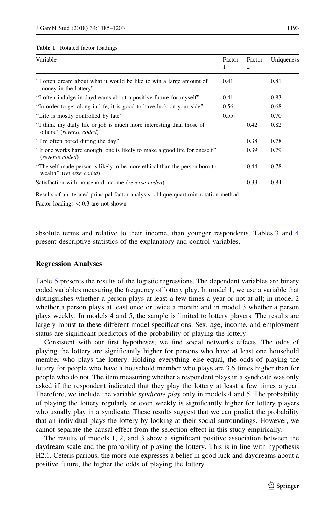#### <span id="page-8-0"></span>Table 1 Rotated factor loadings

| Variable                                                                                              | Factor<br>1 | Factor<br>2 | Uniqueness |
|-------------------------------------------------------------------------------------------------------|-------------|-------------|------------|
| "I often dream about what it would be like to win a large amount of<br>money in the lottery"          | 0.41        |             | 0.81       |
| "I often indulge in daydreams about a positive future for myself"                                     | 0.41        |             | 0.83       |
| "In order to get along in life, it is good to have luck on your side"                                 | 0.56        |             | 0.68       |
| "Life is mostly controlled by fate"                                                                   | 0.55        |             | 0.70       |
| "I think my daily life or job is much more interesting than those of<br>others" (reverse coded)       |             | 0.42        | 0.82       |
| "I'm often bored during the day"                                                                      |             | 0.38        | 0.78       |
| "If one works hard enough, one is likely to make a good life for oneself"<br>(reverse coded)          |             | 0.39        | 0.79       |
| "The self-made person is likely to be more ethical than the person born to<br>wealth" (reverse coded) |             | 0.44        | 0.78       |
| Satisfaction with household income (reverse coded)                                                    |             | 0.33        | 0.84       |

Results of an iterated principal factor analysis, oblique quartimin rotation method

Factor loadings  $< 0.3$  are not shown

absolute terms and relative to their income, than younger respondents. Tables [3](#page-9-0) and [4](#page-10-0) present descriptive statistics of the explanatory and control variables.

#### Regression Analyses

Table [5](#page-11-0) presents the results of the logistic regressions. The dependent variables are binary coded variables measuring the frequency of lottery play. In model 1, we use a variable that distinguishes whether a person plays at least a few times a year or not at all; in model 2 whether a person plays at least once or twice a month; and in model 3 whether a person plays weekly. In models 4 and 5, the sample is limited to lottery players. The results are largely robust to these different model specifications. Sex, age, income, and employment status are significant predictors of the probability of playing the lottery.

Consistent with our first hypotheses, we find social networks effects. The odds of playing the lottery are significantly higher for persons who have at least one household member who plays the lottery. Holding everything else equal, the odds of playing the lottery for people who have a household member who plays are 3.6 times higher than for people who do not. The item measuring whether a respondent plays in a syndicate was only asked if the respondent indicated that they play the lottery at least a few times a year. Therefore, we include the variable *syndicate play* only in models 4 and 5. The probability of playing the lottery regularly or even weekly is significantly higher for lottery players who usually play in a syndicate. These results suggest that we can predict the probability that an individual plays the lottery by looking at their social surroundings. However, we cannot separate the causal effect from the selection effect in this study empirically.

The results of models 1, 2, and 3 show a significant positive association between the daydream scale and the probability of playing the lottery. This is in line with hypothesis H2.1. Ceteris paribus, the more one expresses a belief in good luck and daydreams about a positive future, the higher the odds of playing the lottery.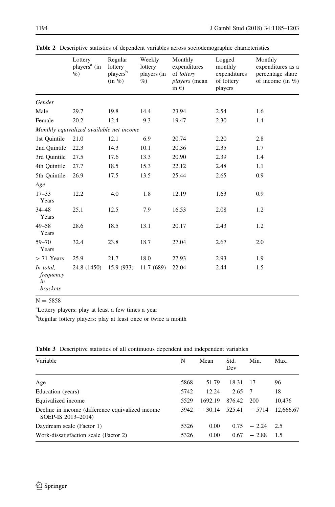|                                          | Lottery<br>players <sup>a</sup> (in<br>$\%$ | Regular<br>lottery<br>players <sup>b</sup><br>$(in \%)$ | Weekly<br>lottery<br>players (in<br>$\%$ | Monthly<br>expenditures<br>of <i>lottery</i><br><i>players</i> (mean<br>in $\epsilon$ ) | Logged<br>monthly<br>expenditures<br>of lottery<br>players | Monthly<br>expenditures as a<br>percentage share<br>of income (in $%$ ) |
|------------------------------------------|---------------------------------------------|---------------------------------------------------------|------------------------------------------|-----------------------------------------------------------------------------------------|------------------------------------------------------------|-------------------------------------------------------------------------|
| Gender                                   |                                             |                                                         |                                          |                                                                                         |                                                            |                                                                         |
| Male                                     | 29.7                                        | 19.8                                                    | 14.4                                     | 23.94                                                                                   | 2.54                                                       | 1.6                                                                     |
| Female                                   | 20.2                                        | 12.4                                                    | 9.3                                      | 19.47                                                                                   | 2.30                                                       | 1.4                                                                     |
|                                          | Monthly equivalized available net income    |                                                         |                                          |                                                                                         |                                                            |                                                                         |
| 1st Ouintile                             | 21.0                                        | 12.1                                                    | 6.9                                      | 20.74                                                                                   | 2.20                                                       | 2.8                                                                     |
| 2nd Quintile                             | 22.3                                        | 14.3                                                    | 10.1                                     | 20.36                                                                                   | 2.35                                                       | 1.7                                                                     |
| 3rd Quintile                             | 27.5                                        | 17.6                                                    | 13.3                                     | 20.90                                                                                   | 2.39                                                       | 1.4                                                                     |
| 4th Quintile                             | 27.7                                        | 18.5                                                    | 15.3                                     | 22.12                                                                                   | 2.48                                                       | 1.1                                                                     |
| 5th Ouintile                             | 26.9                                        | 17.5                                                    | 13.5                                     | 25.44                                                                                   | 2.65                                                       | 0.9                                                                     |
| Age                                      |                                             |                                                         |                                          |                                                                                         |                                                            |                                                                         |
| $17 - 33$<br>Years                       | 12.2                                        | 4.0                                                     | 1.8                                      | 12.19                                                                                   | 1.63                                                       | 0.9                                                                     |
| $34 - 48$<br>Years                       | 25.1                                        | 12.5                                                    | 7.9                                      | 16.53                                                                                   | 2.08                                                       | 1.2                                                                     |
| $49 - 58$<br>Years                       | 28.6                                        | 18.5                                                    | 13.1                                     | 20.17                                                                                   | 2.43                                                       | 1.2                                                                     |
| $59 - 70$<br>Years                       | 32.4                                        | 23.8                                                    | 18.7                                     | 27.04                                                                                   | 2.67                                                       | 2.0                                                                     |
| $> 71$ Years                             | 25.9                                        | 21.7                                                    | 18.0                                     | 27.93                                                                                   | 2.93                                                       | 1.9                                                                     |
| In total,<br>frequency<br>in<br>brackets | 24.8 (1450)                                 | 15.9(933)                                               | 11.7(689)                                | 22.04                                                                                   | 2.44                                                       | 1.5                                                                     |

<span id="page-9-0"></span>Table 2 Descriptive statistics of dependent variables across sociodemographic characteristics

 $N = 5858$ 

<sup>a</sup>Lottery players: play at least a few times a year

<sup>b</sup>Regular lottery players: play at least once or twice a month

| Variable                                                                | N    | Mean                    | Std.<br>Dev | Min.    | Max.      |
|-------------------------------------------------------------------------|------|-------------------------|-------------|---------|-----------|
| Age                                                                     | 5868 | 51.79                   | 18.31       | -17     | 96        |
| Education (years)                                                       | 5742 | 12.24                   | 2.65        | - 7     | 18        |
| Equivalized income                                                      | 5529 | 1692.19                 | 876.42      | 200     | 10,476    |
| Decline in income (difference equivalized income)<br>SOEP-IS 2013-2014) | 3942 | $-30.14$ 525.41 $-5714$ |             |         | 12,666.67 |
| Daydream scale (Factor 1)                                               | 5326 | 0.00                    | 0.75        | $-2.24$ | 2.5       |
| Work-dissatisfaction scale (Factor 2)                                   | 5326 | 0.00                    | 0.67        | $-2.88$ | 1.5       |

Table 3 Descriptive statistics of all continuous dependent and independent variables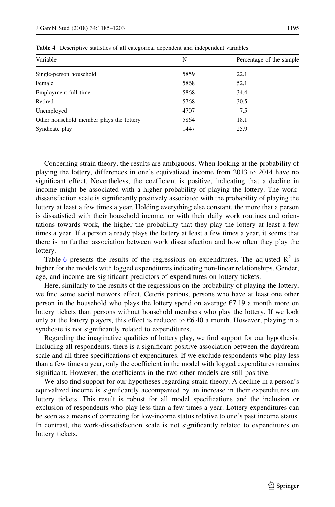| Variable                                 | N    | Percentage of the sample |
|------------------------------------------|------|--------------------------|
| Single-person household                  | 5859 | 22.1                     |
| Female                                   | 5868 | 52.1                     |
| Employment full time                     | 5868 | 34.4                     |
| Retired                                  | 5768 | 30.5                     |
| Unemployed                               | 4707 | 7.5                      |
| Other household member plays the lottery | 5864 | 18.1                     |
| Syndicate play                           | 1447 | 25.9                     |

<span id="page-10-0"></span>Table 4 Descriptive statistics of all categorical dependent and independent variables

Concerning strain theory, the results are ambiguous. When looking at the probability of playing the lottery, differences in one's equivalized income from 2013 to 2014 have no significant effect. Nevertheless, the coefficient is positive, indicating that a decline in income might be associated with a higher probability of playing the lottery. The workdissatisfaction scale is significantly positively associated with the probability of playing the lottery at least a few times a year. Holding everything else constant, the more that a person is dissatisfied with their household income, or with their daily work routines and orientations towards work, the higher the probability that they play the lottery at least a few times a year. If a person already plays the lottery at least a few times a year, it seems that there is no further association between work dissatisfaction and how often they play the lottery.

Table [6](#page-12-0) presents the results of the regressions on expenditures. The adjusted  $R^2$  is higher for the models with logged expenditures indicating non-linear relationships. Gender, age, and income are significant predictors of expenditures on lottery tickets.

Here, similarly to the results of the regressions on the probability of playing the lottery, we find some social network effect. Ceteris paribus, persons who have at least one other person in the household who plays the lottery spend on average €7.19 a month more on lottery tickets than persons without household members who play the lottery. If we look only at the lottery players, this effect is reduced to €6.40 a month. However, playing in a syndicate is not significantly related to expenditures.

Regarding the imaginative qualities of lottery play, we find support for our hypothesis. Including all respondents, there is a significant positive association between the daydream scale and all three specifications of expenditures. If we exclude respondents who play less than a few times a year, only the coefficient in the model with logged expenditures remains significant. However, the coefficients in the two other models are still positive.

We also find support for our hypotheses regarding strain theory. A decline in a person's equivalized income is significantly accompanied by an increase in their expenditures on lottery tickets. This result is robust for all model specifications and the inclusion or exclusion of respondents who play less than a few times a year. Lottery expenditures can be seen as a means of correcting for low-income status relative to one's past income status. In contrast, the work-dissatisfaction scale is not significantly related to expenditures on lottery tickets.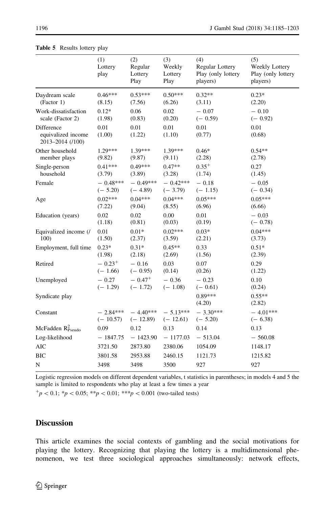|                                                      | (1)<br>Lottery<br>play | (2)<br>Regular<br>Lottery<br>Play | (3)<br>Weekly<br>Lottery<br>Play | (4)<br>Regular Lottery<br>Play (only lottery<br>players) | (5)<br>Weekly Lottery<br>Play (only lottery<br>players) |
|------------------------------------------------------|------------------------|-----------------------------------|----------------------------------|----------------------------------------------------------|---------------------------------------------------------|
| Daydream scale                                       | $0.46***$              | $0.53***$                         | $0.50***$                        | $0.32**$                                                 | $0.23*$                                                 |
| (Factor 1)                                           | (8.15)                 | (7.56)                            | (6.26)                           | (3.11)                                                   | (2.20)                                                  |
| Work-dissatisfaction                                 | $0.12*$                | 0.06                              | 0.02                             | $-0.07$                                                  | $-0.10$                                                 |
| scale (Factor 2)                                     | (1.98)                 | (0.83)                            | (0.20)                           | $(-0.59)$                                                | $(-0.92)$                                               |
| Difference<br>equivalized income<br>2013-2014 (/100) | 0.01<br>(1.00)         | 0.01<br>(1.22)                    | 0.01<br>(1.10)                   | 0.01<br>(0.77)                                           | 0.01<br>(0.68)                                          |
| Other household                                      | 1.29***                | 1.39***                           | $1.39***$                        | $0.46*$                                                  | $0.54**$                                                |
| member plays                                         | (9.82)                 | (9.87)                            | (9.11)                           | (2.28)                                                   | (2.78)                                                  |
| Single-person                                        | $0.41***$              | $0.49***$                         | $0.47**$                         | $0.35^{+}$                                               | 0.27                                                    |
| household                                            | (3.79)                 | (3.89)                            | (3.28)                           | (1.74)                                                   | (1.45)                                                  |
| Female                                               | $-0.48***$             | $-0.49***$                        | $-0.42***$                       | $-0.18$                                                  | $-0.05$                                                 |
|                                                      | $(-5.20)$              | $(-4.89)$                         | $(-3.79)$                        | $(-1.15)$                                                | $(-0.34)$                                               |
| Age                                                  | $0.02***$              | $0.04***$                         | $0.04***$                        | $0.05***$                                                | $0.05***$                                               |
|                                                      | (7.22)                 | (9.04)                            | (8.55)                           | (6.96)                                                   | (6.66)                                                  |
| Education (years)                                    | 0.02                   | 0.02                              | 0.00                             | 0.01                                                     | $-0.03$                                                 |
|                                                      | (1.18)                 | (0.81)                            | (0.03)                           | (0.19)                                                   | $(-0.78)$                                               |
| Equivalized income (/                                | 0.01                   | $0.01*$                           | $0.02***$                        | $0.03*$                                                  | $0.04***$                                               |
| 100)                                                 | (1.50)                 | (2.37)                            | (3.59)                           | (2.21)                                                   | (3.73)                                                  |
| Employment, full time                                | $0.23*$                | $0.31*$                           | $0.45**$                         | 0.33                                                     | $0.51*$                                                 |
|                                                      | (1.98)                 | (2.18)                            | (2.69)                           | (1.56)                                                   | (2.39)                                                  |
| Retired                                              | $-0.23^{+}$            | $-0.16$                           | 0.03                             | 0.07                                                     | 0.29                                                    |
|                                                      | $(-1.66)$              | $(-0.95)$                         | (0.14)                           | (0.26)                                                   | (1.22)                                                  |
| Unemployed                                           | $-0.27$                | $-0.47^{+}$                       | $-0.36$                          | $-0.23$                                                  | 0.10                                                    |
|                                                      | $(-1.29)$              | $(-1.72)$                         | $(-1.08)$                        | $(-0.61)$                                                | (0.24)                                                  |
| Syndicate play                                       |                        |                                   |                                  | $0.89***$<br>(4.20)                                      | $0.55**$<br>(2.82)                                      |
| Constant                                             | $-2.84***$             | $-4.40***$                        | $-5.13***$                       | $-3.30***$                                               | $-4.01***$                                              |
|                                                      | $(-10.57)$             | $(-12.89)$                        | $(-12.61)$                       | $(-5.20)$                                                | $(-6.38)$                                               |
| McFadden $R^2_{\text{Pseudo}}$                       | 0.09                   | 0.12                              | 0.13                             | 0.14                                                     | 0.13                                                    |
| Log-likelihood                                       | $-1847.75$             | $-1423.90$                        | $-1177.03$                       | $-513.04$                                                | $-560.08$                                               |
| <b>AIC</b>                                           | 3721.50                | 2873.80                           | 2380.06                          | 1054.09                                                  | 1148.17                                                 |
| <b>BIC</b>                                           | 3801.58                | 2953.88                           | 2460.15                          | 1121.73                                                  | 1215.82                                                 |
| N                                                    | 3498                   | 3498                              | 3500                             | 927                                                      | 927                                                     |

<span id="page-11-0"></span>

|  | Table 5 Results lottery play |  |  |
|--|------------------------------|--|--|
|--|------------------------------|--|--|

Logistic regression models on different dependent variables, t statistics in parentheses; in models 4 and 5 the sample is limited to respondents who play at least a few times a year

 $^{+}p$  < 0.1; \*p < 0.05; \*\*p < 0.01; \*\*\*p < 0.001 (two-tailed tests)

## Discussion

This article examines the social contexts of gambling and the social motivations for playing the lottery. Recognizing that playing the lottery is a multidimensional phenomenon, we test three sociological approaches simultaneously: network effects,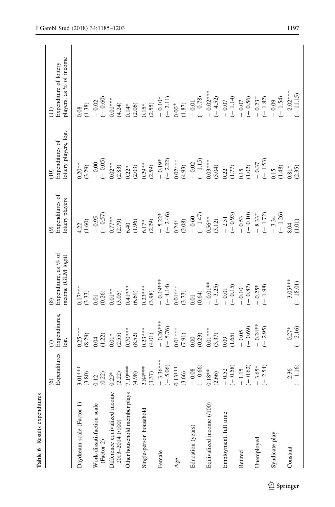<span id="page-12-0"></span>

| Table 6 Results expenditures                      |                                        |                                        |                                                                     |                                                                |                                                            |                                                                     |
|---------------------------------------------------|----------------------------------------|----------------------------------------|---------------------------------------------------------------------|----------------------------------------------------------------|------------------------------------------------------------|---------------------------------------------------------------------|
|                                                   | Expenditures<br>$\widehat{\mathbf{e}}$ | Expenditures,<br>log.<br>$\widehat{C}$ | Expenditure, as % of<br>income (GLM logit)<br>$\circledS$           | Expenditures of<br>lottery players<br>$\widehat{\mathfrak{S}}$ | ottery players, log.<br>Expenditures of<br>$\overline{10}$ | players, as % of income<br>Expenditure of lottery<br>$\overline{1}$ |
| Daydream scale (Factor 1)                         | $3.01***$<br>$(3.80)$                  | $0.25***$<br>(8.29)                    | $0.17***$<br>(3.33)                                                 | (1.60)<br>4.22                                                 | $0.20***$<br>(3.29)                                        | (1.38)<br>0.08                                                      |
| Work-dissatisfaction scale<br>(Factor 2)          | (0.22)<br>0.12                         | (1.22)<br>0.04                         | (0.26)<br>0.01                                                      | $(-0.57)$<br>$-0.95$                                           | $(-0.05)$<br>$-0.00$                                       | $(-0.60)$<br>$-0.02$                                                |
| Difference equivalized income<br>2013-2014 (/100) | (2.22)<br>$0.25*$                      | (2.55)<br>$0.01*$                      | $0.01***$<br>(3.05)                                                 | $0.77***$<br>(2.79)                                            | $0.02***$<br>(2.83)                                        | $0.01***$<br>(4.24)                                                 |
| Other household member plays                      | 7.19***<br>(4.98)                      | $0.70***$<br>(8.52)                    | $0.41***$<br>(6.69)                                                 | (1.96)<br>$6.40^{+}$                                           | (2.03)<br>$0.22*$                                          | (2.06)<br>$0.14*$                                                   |
| Single-person household                           | $2.84***$<br>(3.37)                    | $0.23***$<br>(4.01)                    | $0.23***$<br>(3.98)                                                 | $6.17*$<br>(2.29)                                              | $0.29***$<br>(2.59)                                        | $0.15*$<br>(2.55)                                                   |
| Female                                            | $-3.36***$                             | $-0.26$ **<br>$(-5.76)$                | $-0.19***$<br>$(-4.14)$                                             | $-5.22*$<br>$(-2.46)$<br>0.24*<br>(2.08)                       |                                                            | $(-2.11)$<br>$-0.10*$                                               |
| Age                                               | $0.13***$<br>(3.66)                    | $0.01***$<br>(7.91)                    | $0.01***$<br>(3.73)                                                 |                                                                | $-$ 0.19*<br>$(- 2.22)$<br>0.02***<br>(4.93)               | $0.00^{+}$<br>$(1.87)$                                              |
| Education (years)                                 | $-0.08$<br>$(-0.66)$                   | (0.23)<br>0.00                         | (0.64)<br>0.01                                                      |                                                                | $-0.02$<br>$(-1.15)$                                       | $(-0.78)$<br>$-0.01$                                                |
| Equivalized income (/100)                         | $0.18^{**}$<br>(2.66)                  | $0.01***$<br>(3.37)                    | $-$ 0.01**<br>(-3.25)                                               | $-0.60$<br>$(-1.47)$<br>$0.56**$<br>(3.12)                     | $0.03***$<br>(5.04)                                        | $-0.02***$<br>$(-4.52)$                                             |
| Employment, full time                             | $-0.52$<br>$(-0.58)$                   | (1.65)<br>$0.09^{+}$                   |                                                                     | $-2.51$<br>$(-0.93)$                                           | $0.22^{+}$<br>(1.77)                                       | $(-1.14)$<br>$-0.07$                                                |
| Retired                                           | $-1.15$<br>$(-0.62)$                   | $(-0.69)$<br>$-0.05$                   | $\begin{array}{c} -0.01 \\ (-0.15) \\ -0.10 \\ (-0.87) \end{array}$ | $(- 0.10)$<br>$-0.53$                                          | $\frac{0.15}{(1.02)}$                                      | $(-0.56)$<br>$-0.07$                                                |
| Unemployed                                        | $(-2.54)$<br>$-3.65*$                  | $-0.24**$<br>$(-2.95)$                 | $(-1.98)$<br>$-0.25*$                                               |                                                                | $-0.37$<br>$(-1.53)$                                       | $(-1.82)$<br>$-0.23^{+}$                                            |
| Syndicate play                                    |                                        |                                        |                                                                     | $-8.33^{+}$<br>$(-1.72)$<br>$-3.34$<br>$(-1.26)$               | (1.48)<br>0.15                                             | $(-1.54)$<br>$-0.09$                                                |
| Constant                                          | $-2.36$<br>$(-1.16)$                   | $-0.27*$<br>$(-2.16)$                  | $-3.05***$<br>$(-18.01)$                                            | $\frac{8.04}{(1.01)}$                                          | $0.81*$<br>(2.35)                                          | $-2.02***$<br>(-11.15)                                              |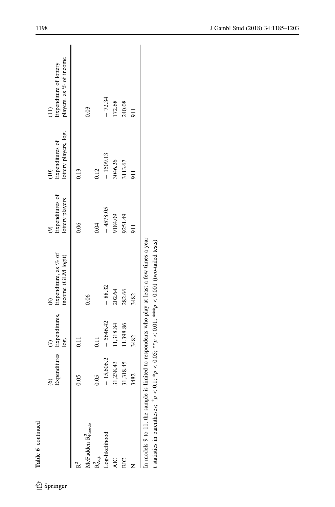| Table 6 continued                                                                                                                            |             |                                    |                                            |                                          |                                                           |                                                   |
|----------------------------------------------------------------------------------------------------------------------------------------------|-------------|------------------------------------|--------------------------------------------|------------------------------------------|-----------------------------------------------------------|---------------------------------------------------|
|                                                                                                                                              | ତି          | Expenditures Expenditures,<br>log. | Expenditure, as % of<br>income (GLM logit) | Expenditures of<br>lottery players<br>ම් | lottery players, log.<br>Expenditures of<br>$\widehat{=}$ | players, as % of income<br>Expenditure of lottery |
|                                                                                                                                              | 0.05        | 0.11                               |                                            | 0.06                                     | 0.13                                                      |                                                   |
| McFadden R <sub>Pseudo</sub>                                                                                                                 |             |                                    | 0.06                                       |                                          |                                                           | 0.03                                              |
|                                                                                                                                              | 0.05        | 0.11                               |                                            | 0.04                                     | 0.12                                                      |                                                   |
| Log-likelihood                                                                                                                               | $-15,606.2$ | $-5646.42$                         | $-88.32$                                   | $-4578.05$                               | $-1509.13$                                                | $-72.34$                                          |
|                                                                                                                                              | 31,238.43   | 11,318.84                          | 202.64                                     | 9184.09                                  | 3046.26                                                   | 172.68                                            |
| BIC                                                                                                                                          | 31,318.45   | 11,398.86                          | 282.66                                     | 9251.49                                  | 3113.67                                                   | 240.08                                            |
|                                                                                                                                              | 3482        | 3482                               | 3482                                       | $\frac{1}{2}$                            | $\frac{11}{2}$                                            | $\frac{1}{2}$                                     |
| In models 9 to 11, the sample is limited to respondents who play at least a few times a year                                                 |             |                                    |                                            |                                          |                                                           |                                                   |
| t statistics in parentheses; $^{\dagger}p < 0.1$ ; $^{\ast}p < 0.05$ ; $^{\ast\ast}p < 0.01$ ; $^{\ast\ast\ast}p < 0.001$ (two-tailed tests) |             |                                    |                                            |                                          |                                                           |                                                   |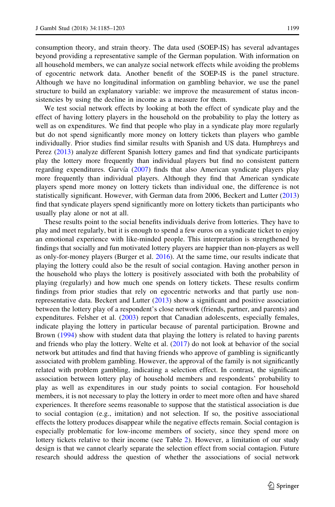consumption theory, and strain theory. The data used (SOEP-IS) has several advantages beyond providing a representative sample of the German population. With information on all household members, we can analyze social network effects while avoiding the problems of egocentric network data. Another benefit of the SOEP-IS is the panel structure. Although we have no longitudinal information on gambling behavior, we use the panel structure to build an explanatory variable: we improve the measurement of status inconsistencies by using the decline in income as a measure for them.

We test social network effects by looking at both the effect of syndicate play and the effect of having lottery players in the household on the probability to play the lottery as well as on expenditures. We find that people who play in a syndicate play more regularly but do not spend significantly more money on lottery tickets than players who gamble individually. Prior studies find similar results with Spanish and US data. Humphreys and Perez [\(2013](#page-17-0)) analyze different Spanish lottery games and find that syndicate participants play the lottery more frequently than individual players but find no consistent pattern regarding expenditures. Garvía  $(2007)$  $(2007)$  finds that also American syndicate players play more frequently than individual players. Although they find that American syndicate players spend more money on lottery tickets than individual one, the difference is not statistically significant. However, with German data from 2006, Beckert and Lutter ([2013](#page-16-0)) find that syndicate players spend significantly more on lottery tickets than participants who usually play alone or not at all.

These results point to the social benefits individuals derive from lotteries. They have to play and meet regularly, but it is enough to spend a few euros on a syndicate ticket to enjoy an emotional experience with like-minded people. This interpretation is strengthened by findings that socially and fun motivated lottery players are happier than non-players as well as only-for-money players (Burger et al. [2016](#page-16-0)). At the same time, our results indicate that playing the lottery could also be the result of social contagion. Having another person in the household who plays the lottery is positively associated with both the probability of playing (regularly) and how much one spends on lottery tickets. These results confirm findings from prior studies that rely on egocentric networks and that partly use nonrepresentative data. Beckert and Lutter ([2013\)](#page-16-0) show a significant and positive association between the lottery play of a respondent's close network (friends, partner, and parents) and expenditures. Felsher et al. ([2003](#page-17-0)) report that Canadian adolescents, especially females, indicate playing the lottery in particular because of parental participation. Browne and Brown ([1994\)](#page-16-0) show with student data that playing the lottery is related to having parents and friends who play the lottery. Welte et al. ([2017\)](#page-18-0) do not look at behavior of the social network but attitudes and find that having friends who approve of gambling is significantly associated with problem gambling. However, the approval of the family is not significantly related with problem gambling, indicating a selection effect. In contrast, the significant association between lottery play of household members and respondents' probability to play as well as expenditures in our study points to social contagion. For household members, it is not necessary to play the lottery in order to meet more often and have shared experiences. It therefore seems reasonable to suppose that the statistical association is due to social contagion (e.g., imitation) and not selection. If so, the positive associational effects the lottery produces disappear while the negative effects remain. Social contagion is especially problematic for low-income members of society, since they spend more on lottery tickets relative to their income (see Table [2\)](#page-9-0). However, a limitation of our study design is that we cannot clearly separate the selection effect from social contagion. Future research should address the question of whether the associations of social network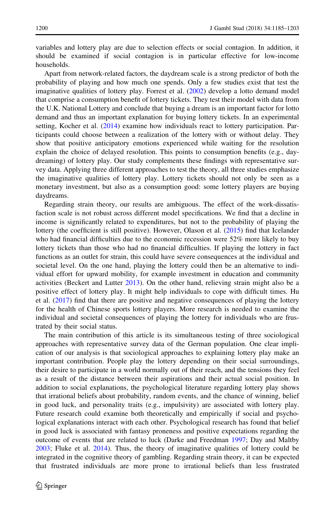variables and lottery play are due to selection effects or social contagion. In addition, it should be examined if social contagion is in particular effective for low-income households.

Apart from network-related factors, the daydream scale is a strong predictor of both the probability of playing and how much one spends. Only a few studies exist that test the imaginative qualities of lottery play. Forrest et al. [\(2002](#page-17-0)) develop a lotto demand model that comprise a consumption benefit of lottery tickets. They test their model with data from the U.K. National Lottery and conclude that buying a dream is an important factor for lotto demand and thus an important explanation for buying lottery tickets. In an experimental setting, Kocher et al. [\(2014](#page-17-0)) examine how individuals react to lottery participation. Participants could choose between a realization of the lottery with or without delay. They show that positive anticipatory emotions experienced while waiting for the resolution explain the choice of delayed resolution. This points to consumption benefits (e.g., daydreaming) of lottery play. Our study complements these findings with representative survey data. Applying three different approaches to test the theory, all three studies emphasize the imaginative qualities of lottery play. Lottery tickets should not only be seen as a monetary investment, but also as a consumption good: some lottery players are buying daydreams.

Regarding strain theory, our results are ambiguous. The effect of the work-dissatisfaction scale is not robust across different model specifications. We find that a decline in income is significantly related to expenditures, but not to the probability of playing the lottery (the coefficient is still positive). However, Olason et al. ([2015\)](#page-17-0) find that Icelander who had financial difficulties due to the economic recession were 52% more likely to buy lottery tickets than those who had no financial difficulties. If playing the lottery in fact functions as an outlet for strain, this could have severe consequences at the individual and societal level. On the one hand, playing the lottery could then be an alternative to individual effort for upward mobility, for example investment in education and community activities (Beckert and Lutter [2013\)](#page-16-0). On the other hand, relieving strain might also be a positive effect of lottery play. It might help individuals to cope with difficult times. Hu et al. [\(2017](#page-17-0)) find that there are positive and negative consequences of playing the lottery for the health of Chinese sports lottery players. More research is needed to examine the individual and societal consequences of playing the lottery for individuals who are frustrated by their social status.

The main contribution of this article is its simultaneous testing of three sociological approaches with representative survey data of the German population. One clear implication of our analysis is that sociological approaches to explaining lottery play make an important contribution. People play the lottery depending on their social surroundings, their desire to participate in a world normally out of their reach, and the tensions they feel as a result of the distance between their aspirations and their actual social position. In addition to social explanations, the psychological literature regarding lottery play shows that irrational beliefs about probability, random events, and the chance of winning, belief in good luck, and personality traits (e.g., impulsivity) are associated with lottery play. Future research could examine both theoretically and empirically if social and psychological explanations interact with each other. Psychological research has found that belief in good luck is associated with fantasy proneness and positive expectations regarding the outcome of events that are related to luck (Darke and Freedman [1997;](#page-16-0) Day and Maltby [2003;](#page-16-0) Fluke et al. [2014](#page-17-0)). Thus, the theory of imaginative qualities of lottery could be integrated in the cognitive theory of gambling. Regarding strain theory, it can be expected that frustrated individuals are more prone to irrational beliefs than less frustrated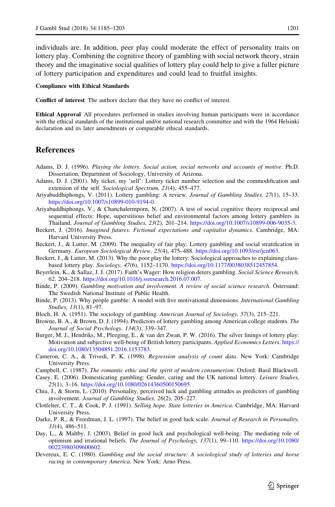<span id="page-16-0"></span>individuals are. In addition, peer play could moderate the effect of personality traits on lottery play. Combining the cognitive theory of gambling with social network theory, strain theory and the imaginative social qualities of lottery play could help to give a fuller picture of lottery participation and expenditures and could lead to fruitful insights.

#### Compliance with Ethical Standards

Conflict of interest The authors declare that they have no conflict of interest.

Ethical Approval All procedures performed in studies involving human participants were in accordance with the ethical standards of the institutional and/or national research committee and with the 1964 Helsinki declaration and its later amendments or comparable ethical standards.

### **References**

- Adams, D. J. (1996). Playing the lottery. Social action, social networks and accounts of motive. Ph.D. Dissertation, Department of Sociology, University of Arizona.
- Adams, D. J. (2001). My ticket, my 'self': Lottery ticket number selection and the commodification and extension of the self. Sociological Spectrum, 21(4), 455–477.
- Ariyabuddhiphongs, V. (2011). Lottery gambling: A review. Journal of Gambling Studies, 27(1), 15–33. [https://doi.org/10.1007/s10899-010-9194-0.](https://doi.org/10.1007/s10899-010-9194-0)
- Ariyabuddhiphongs, V., & Chanchalermporn, N. (2007). A test of social cognitive theory reciprocal and sequential effects: Hope, superstitious belief and environmental factors among lottery gamblers in Thailand. Journal of Gambling Studies, 23(2), 201–214. <https://doi.org/10.1007/s10899-006-9035-3>.
- Beckert, J. (2016). Imagined futures. Fictional expectations and capitalist dynamics. Cambridge, MA: Harvard University Press.
- Beckert, J., & Lutter, M. (2009). The inequality of fair play: Lottery gambling and social stratification in Germany. European Sociological Review, 25(4), 475–488. <https://doi.org/10.1093/esr/jcn063>.
- Beckert, J., & Lutter, M. (2013). Why the poor play the lottery: Sociological approaches to explaining classbased lottery play. Sociology, 47(6), 1152–1170. [https://doi.org/10.1177/0038038512457854.](https://doi.org/10.1177/0038038512457854)
- Beyerlein, K., & Sallaz, J. J. (2017). Faith's Wager: How religion deters gambling. Social Science Research, 62, 204–218. [https://doi.org/10.1016/j.ssresearch.2016.07.007.](https://doi.org/10.1016/j.ssresearch.2016.07.007)
- Binde, P. (2009). Gambling motivation and involvement. A review of social science research. Östersund: The Swedish National Institute of Public Health.
- Binde, P. (2013). Why people gamble: A model with five motivational dimensions. International Gambling Studies, 13(1), 81–97.
- Bloch, H. A. (1951). The sociology of gambling. American Journal of Sociology, 57(3), 215–221.
- Browne, B. A., & Brown, D. J. (1994). Predictors of lottery gambling among American college students. The Journal of Social Psychology, 134(3), 339–347.
- Burger, M. J., Hendriks, M., Pleeging, E., & van der Zwan, P. W. (2016). The silver linings of lottery play: Motivation and subjective well-being of British lottery participants. Applied Economics Letters. [https://](https://doi.org/10.1080/13504851.2016.1153783) [doi.org/10.1080/13504851.2016.1153783](https://doi.org/10.1080/13504851.2016.1153783).
- Cameron, C. A., & Trivedi, P. K. (1998). Regression analysis of count data. New York: Cambridge University Press.
- Campbell, C. (1987). The romantic ethic and the spirit of modern consumerism. Oxford: Basil Blackwell.
- Casey, E. (2006). Domesticating gambling: Gender, caring and the UK national lottery. Leisure Studies, 25(1), 3–16. [https://doi.org/10.1080/02614360500150695.](https://doi.org/10.1080/02614360500150695)
- Chiu, J., & Storm, L. (2010). Personality, perceived luck and gambling attitudes as predictors of gambling involvement. Journal of Gambling Studies, 26(2), 205–227.
- Clotfelter, C. T., & Cook, P. J. (1991). Selling hope. State lotteries in America. Cambridge, MA: Harvard University Press.
- Darke, P. R., & Freedman, J. L. (1997). The belief in good luck scale. Journal of Research in Personality,  $31(4)$ , 486–511.
- Day, L., & Maltby, J. (2003). Belief in good luck and psychological well-being: The mediating role of optimism and irrational beliefs. The Journal of Psychology, 137(1), 99–110. [https://doi.org/10.1080/](https://doi.org/10.1080/00223980309600602) [00223980309600602](https://doi.org/10.1080/00223980309600602).
- Devereux, E. C. (1980). Gambling and the social structure: A sociological study of lotteries and horse racing in contemporary America. New York: Arno Press.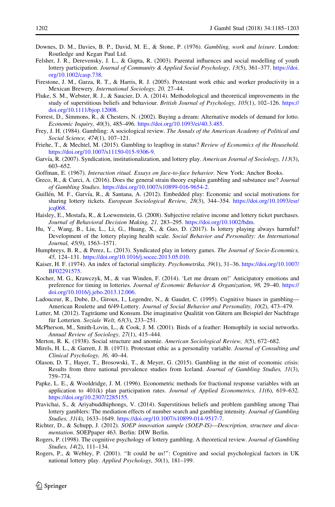- <span id="page-17-0"></span>Downes, D. M., Davies, B. P., David, M. E., & Stone, P. (1976). Gambling, work and leisure. London: Routledge and Kegan Paul Ltd.
- Felsher, J. R., Derevensky, J. L., & Gupta, R. (2003). Parental influences and social modelling of youth lottery participation. Journal of Community & Applied Social Psychology, 13(5), 361–377. [https://doi.](https://doi.org/10.1002/casp.738) [org/10.1002/casp.738.](https://doi.org/10.1002/casp.738)
- Firestone, J. M., Garza, R. T., & Harris, R. J. (2005). Protestant work ethic and worker productivity in a Mexican Brewery. International Sociology, 20, 27–44.
- Fluke, S. M., Webster, R. J., & Saucier, D. A. (2014). Methodological and theoretical improvements in the study of superstitious beliefs and behaviour. British Journal of Psychology, 105(1), 102–126. [https://](https://doi.org/10.1111/bjop.12008) [doi.org/10.1111/bjop.12008.](https://doi.org/10.1111/bjop.12008)
- Forrest, D., Simmons, R., & Chesters, N. (2002). Buying a dream: Alternative models of demand for lotto. Economic Inquiry, 40(3), 485–496. [https://doi.org/10.1093/ei/40.3.485.](https://doi.org/10.1093/ei/40.3.485)
- Frey, J. H. (1984). Gambling: A sociological review. The Annals of the American Academy of Political and Social Science, 474(1), 107–121.
- Friehe, T., & Mechtel, M. (2015). Gambling to leapfrog in status? Review of Economics of the Household. [https://doi.org/10.1007/s11150-015-9306-9.](https://doi.org/10.1007/s11150-015-9306-9)
- Garvía, R. (2007). Syndication, institutionalization, and lottery play. American Journal of Sociology, 113(3), 603–652.
- Goffman, E. (1967). Interaction ritual. Essays on face-to-face behavior. New York: Anchor Books.
- Greco, R., & Curci, A. (2016). Does the general strain theory explain gambling and substance use? *Journal* of Gambling Studies. [https://doi.org/10.1007/s10899-016-9654-2.](https://doi.org/10.1007/s10899-016-9654-2)
- Guillén, M. F., Garvía, R., & Santana, A. (2012). Embedded play: Economic and social motivations for sharing lottery tickets. European Sociological Review, 28(3), 344–354. [https://doi.org/10.1093/esr/](https://doi.org/10.1093/esr/jcq068) [jcq068](https://doi.org/10.1093/esr/jcq068).
- Haisley, E., Mostafa, R., & Loewenstein, G. (2008). Subjective relative income and lottery ticket purchases. Journal of Behavioral Decision Making, 21, 283-295. [https://doi.org/10.1002/bdm.](https://doi.org/10.1002/bdm)
- Hu, Y., Wang, B., Liu, L., Li, G., Huang, X., & Guo, D. (2017). Is lottery playing always harmful? Development of the lottery playing health scale. Social Behavior and Personality: An International Journal, 45(9), 1563–1571.
- Humphreys, B. R., & Perez, L. (2013). Syndicated play in lottery games. The Journal of Socio-Economics, 45, 124–131. [https://doi.org/10.1016/j.socec.2013.05.010.](https://doi.org/10.1016/j.socec.2013.05.010)
- Kaiser, H. F. (1974). An index of factorial simplicity. Psychometrika, 39(1), 31–36. [https://doi.org/10.1007/](https://doi.org/10.1007/BF02291575) [BF02291575](https://doi.org/10.1007/BF02291575).
- Kocher, M. G., Krawczyk, M., & van Winden, F. (2014). 'Let me dream on!' Anticipatory emotions and preference for timing in lotteries. Journal of Economic Behavior & Organization, 98, 29–40. [https://](https://doi.org/10.1016/j.jebo.2013.12.006) [doi.org/10.1016/j.jebo.2013.12.006.](https://doi.org/10.1016/j.jebo.2013.12.006)
- Ladouceur, R., Dube, D., Giroux, I., Legendre, N., & Gaudet, C. (1995). Cognitive biases in gambling— American Roulette and 6/49-Lottery. Journal of Social Behavior and Personality, 10(2), 473–479.
- Lutter, M. (2012). Tagträume und Konsum. Die imaginative Qualität von Gütern am Beispiel der Nachfrage für Lotterien. Soziale Welt, 63(3), 233-251.
- McPherson, M., Smith-Lovin, L., & Cook, J. M. (2001). Birds of a feather: Homophily in social networks. Annual Review of Sociology, 27(1), 415–444.
- Merton, R. K. (1938). Social structure and anomie. American Sociological Review, 3(5), 672-682.
- Mirels, H. L., & Garrett, J. B. (1971). Protestant ethic as a personality variable. Journal of Consulting and Clinical Psychology, 36, 40–44.
- Olason, D. T., Hayer, T., Brosowski, T., & Meyer, G. (2015). Gambling in the mist of economic crisis: Results from three national prevalence studies from Iceland. Journal of Gambling Studies, 31(3), 759–774.
- Papke, L. E., & Wooldridge, J. M. (1996). Econometric methods for fractional response variables with an application to  $401(k)$  plan participation rates. Journal of Applied Econometrics,  $11(6)$ ,  $619-632$ . [https://doi.org/10.2307/2285155.](https://doi.org/10.2307/2285155)
- Pravichai, S., & Ariyabuddhiphongs, V. (2014). Superstitious beliefs and problem gambling among Thai lottery gamblers: The mediation effects of number search and gambling intensity. Journal of Gambling Studies, 31(4), 1633–1649. [https://doi.org/10.1007/s10899-014-9517-7.](https://doi.org/10.1007/s10899-014-9517-7)
- Richter, D., & Schupp, J. (2012). SOEP innovation sample (SOEP-IS)-Description, structure and documentation. SOEPpaper 463. Berlin: DIW Berlin.
- Rogers, P. (1998). The cognitive psychology of lottery gambling. A theoretical review. Journal of Gambling Studies, 14(2), 111–134.
- Rogers, P., & Webley, P. (2001). ''It could be us!'': Cognitive and social psychological factors in UK national lottery play. Applied Psychology, 50(1), 181–199.